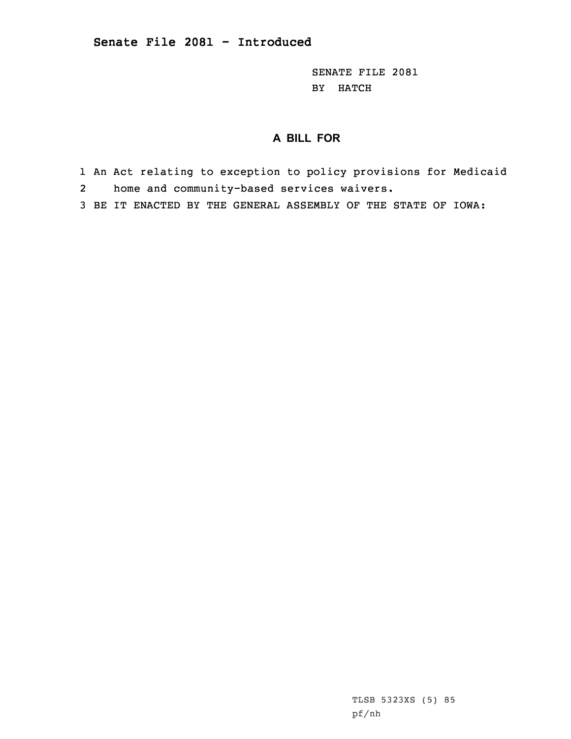SENATE FILE 2081 BY HATCH

## **A BILL FOR**

- 1 An Act relating to exception to policy provisions for Medicaid 2home and community-based services waivers.
- 3 BE IT ENACTED BY THE GENERAL ASSEMBLY OF THE STATE OF IOWA:

TLSB 5323XS (5) 85 pf/nh